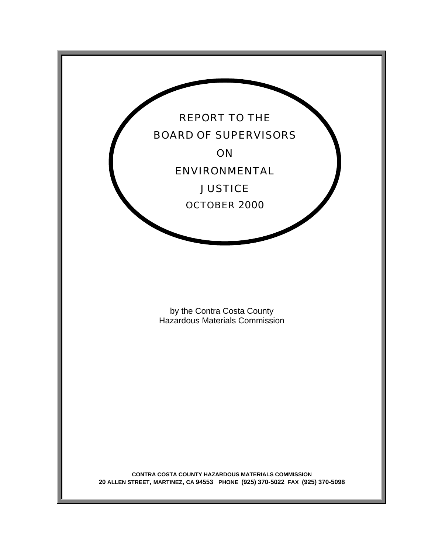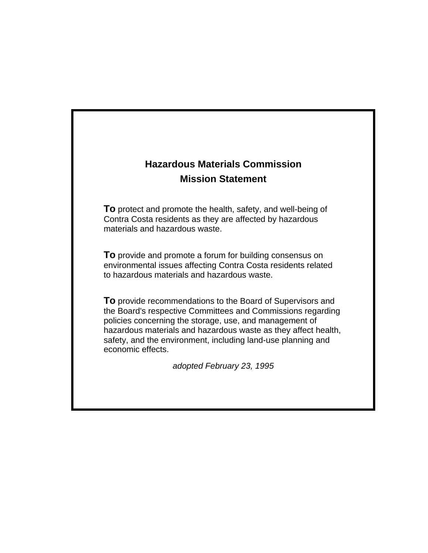# **Hazardous Materials Commission Mission Statement**

**To** protect and promote the health, safety, and well-being of Contra Costa residents as they are affected by hazardous materials and hazardous waste.

**To** provide and promote a forum for building consensus on environmental issues affecting Contra Costa residents related to hazardous materials and hazardous waste.

**To** provide recommendations to the Board of Supervisors and the Board's respective Committees and Commissions regarding policies concerning the storage, use, and management of hazardous materials and hazardous waste as they affect health, safety, and the environment, including land-use planning and economic effects.

*adopted February 23, 1995*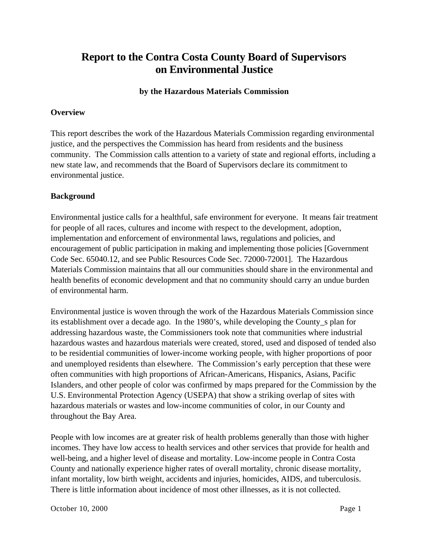## **Report to the Contra Costa County Board of Supervisors on Environmental Justice**

#### **by the Hazardous Materials Commission**

#### **Overview**

This report describes the work of the Hazardous Materials Commission regarding environmental justice, and the perspectives the Commission has heard from residents and the business community. The Commission calls attention to a variety of state and regional efforts, including a new state law, and recommends that the Board of Supervisors declare its commitment to environmental justice.

## **Background**

Environmental justice calls for a healthful, safe environment for everyone. It means fair treatment for people of all races, cultures and income with respect to the development, adoption, implementation and enforcement of environmental laws, regulations and policies, and encouragement of public participation in making and implementing those policies [Government Code Sec. 65040.12, and see Public Resources Code Sec. 72000-72001]. The Hazardous Materials Commission maintains that all our communities should share in the environmental and health benefits of economic development and that no community should carry an undue burden of environmental harm.

Environmental justice is woven through the work of the Hazardous Materials Commission since its establishment over a decade ago. In the 1980's, while developing the County\_s plan for addressing hazardous waste, the Commissioners took note that communities where industrial hazardous wastes and hazardous materials were created, stored, used and disposed of tended also to be residential communities of lower-income working people, with higher proportions of poor and unemployed residents than elsewhere. The Commission's early perception that these were often communities with high proportions of African-Americans, Hispanics, Asians, Pacific Islanders, and other people of color was confirmed by maps prepared for the Commission by the U.S. Environmental Protection Agency (USEPA) that show a striking overlap of sites with hazardous materials or wastes and low-income communities of color, in our County and throughout the Bay Area.

People with low incomes are at greater risk of health problems generally than those with higher incomes. They have low access to health services and other services that provide for health and well-being, and a higher level of disease and mortality. Low-income people in Contra Costa County and nationally experience higher rates of overall mortality, chronic disease mortality, infant mortality, low birth weight, accidents and injuries, homicides, AIDS, and tuberculosis. There is little information about incidence of most other illnesses, as it is not collected.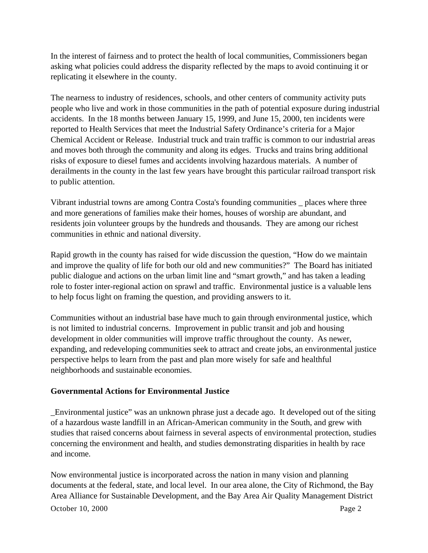In the interest of fairness and to protect the health of local communities, Commissioners began asking what policies could address the disparity reflected by the maps to avoid continuing it or replicating it elsewhere in the county.

The nearness to industry of residences, schools, and other centers of community activity puts people who live and work in those communities in the path of potential exposure during industrial accidents. In the 18 months between January 15, 1999, and June 15, 2000, ten incidents were reported to Health Services that meet the Industrial Safety Ordinance's criteria for a Major Chemical Accident or Release. Industrial truck and train traffic is common to our industrial areas and moves both through the community and along its edges. Trucks and trains bring additional risks of exposure to diesel fumes and accidents involving hazardous materials. A number of derailments in the county in the last few years have brought this particular railroad transport risk to public attention.

Vibrant industrial towns are among Contra Costa's founding communities \_ places where three and more generations of families make their homes, houses of worship are abundant, and residents join volunteer groups by the hundreds and thousands. They are among our richest communities in ethnic and national diversity.

Rapid growth in the county has raised for wide discussion the question, "How do we maintain and improve the quality of life for both our old and new communities?" The Board has initiated public dialogue and actions on the urban limit line and "smart growth," and has taken a leading role to foster inter-regional action on sprawl and traffic. Environmental justice is a valuable lens to help focus light on framing the question, and providing answers to it.

Communities without an industrial base have much to gain through environmental justice, which is not limited to industrial concerns. Improvement in public transit and job and housing development in older communities will improve traffic throughout the county. As newer, expanding, and redeveloping communities seek to attract and create jobs, an environmental justice perspective helps to learn from the past and plan more wisely for safe and healthful neighborhoods and sustainable economies.

## **Governmental Actions for Environmental Justice**

\_Environmental justice" was an unknown phrase just a decade ago. It developed out of the siting of a hazardous waste landfill in an African-American community in the South, and grew with studies that raised concerns about fairness in several aspects of environmental protection, studies concerning the environment and health, and studies demonstrating disparities in health by race and income.

October 10, 2000 Page 2 Now environmental justice is incorporated across the nation in many vision and planning documents at the federal, state, and local level. In our area alone, the City of Richmond, the Bay Area Alliance for Sustainable Development, and the Bay Area Air Quality Management District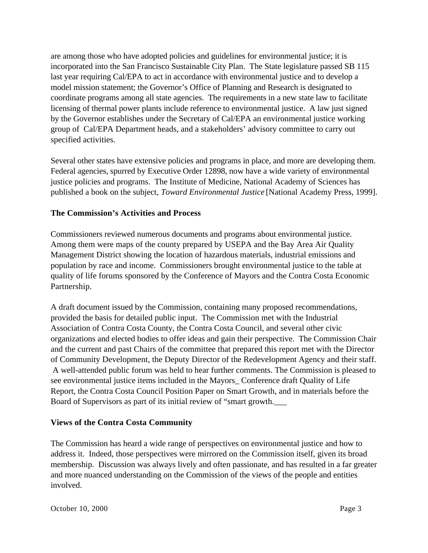are among those who have adopted policies and guidelines for environmental justice; it is incorporated into the San Francisco Sustainable City Plan. The State legislature passed SB 115 last year requiring Cal/EPA to act in accordance with environmental justice and to develop a model mission statement; the Governor's Office of Planning and Research is designated to coordinate programs among all state agencies. The requirements in a new state law to facilitate licensing of thermal power plants include reference to environmental justice. A law just signed by the Governor establishes under the Secretary of Cal/EPA an environmental justice working group of Cal/EPA Department heads, and a stakeholders' advisory committee to carry out specified activities.

Several other states have extensive policies and programs in place, and more are developing them. Federal agencies, spurred by Executive Order 12898, now have a wide variety of environmental justice policies and programs. The Institute of Medicine, National Academy of Sciences has published a book on the subject, *Toward Environmental Justice* [National Academy Press, 1999].

## **The Commission's Activities and Process**

Commissioners reviewed numerous documents and programs about environmental justice. Among them were maps of the county prepared by USEPA and the Bay Area Air Quality Management District showing the location of hazardous materials, industrial emissions and population by race and income. Commissioners brought environmental justice to the table at quality of life forums sponsored by the Conference of Mayors and the Contra Costa Economic Partnership.

A draft document issued by the Commission, containing many proposed recommendations, provided the basis for detailed public input. The Commission met with the Industrial Association of Contra Costa County, the Contra Costa Council, and several other civic organizations and elected bodies to offer ideas and gain their perspective. The Commission Chair and the current and past Chairs of the committee that prepared this report met with the Director of Community Development, the Deputy Director of the Redevelopment Agency and their staff. A well-attended public forum was held to hear further comments. The Commission is pleased to see environmental justice items included in the Mayors\_ Conference draft Quality of Life Report, the Contra Costa Council Position Paper on Smart Growth, and in materials before the Board of Supervisors as part of its initial review of "smart growth.\_\_\_

## **Views of the Contra Costa Community**

The Commission has heard a wide range of perspectives on environmental justice and how to address it. Indeed, those perspectives were mirrored on the Commission itself, given its broad membership. Discussion was always lively and often passionate, and has resulted in a far greater and more nuanced understanding on the Commission of the views of the people and entities involved.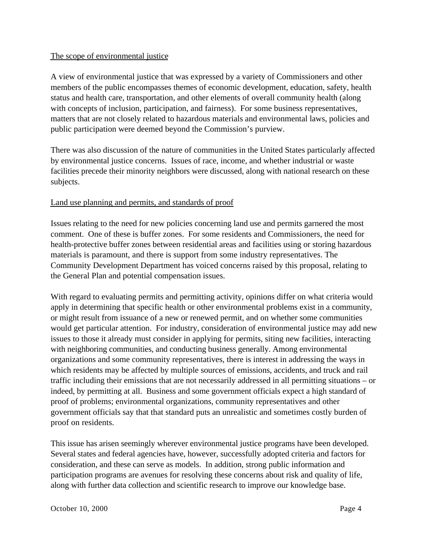#### The scope of environmental justice

A view of environmental justice that was expressed by a variety of Commissioners and other members of the public encompasses themes of economic development, education, safety, health status and health care, transportation, and other elements of overall community health (along with concepts of inclusion, participation, and fairness). For some business representatives, matters that are not closely related to hazardous materials and environmental laws, policies and public participation were deemed beyond the Commission's purview.

There was also discussion of the nature of communities in the United States particularly affected by environmental justice concerns. Issues of race, income, and whether industrial or waste facilities precede their minority neighbors were discussed, along with national research on these subjects.

## Land use planning and permits, and standards of proof

Issues relating to the need for new policies concerning land use and permits garnered the most comment. One of these is buffer zones. For some residents and Commissioners, the need for health-protective buffer zones between residential areas and facilities using or storing hazardous materials is paramount, and there is support from some industry representatives. The Community Development Department has voiced concerns raised by this proposal, relating to the General Plan and potential compensation issues.

With regard to evaluating permits and permitting activity, opinions differ on what criteria would apply in determining that specific health or other environmental problems exist in a community, or might result from issuance of a new or renewed permit, and on whether some communities would get particular attention. For industry, consideration of environmental justice may add new issues to those it already must consider in applying for permits, siting new facilities, interacting with neighboring communities, and conducting business generally. Among environmental organizations and some community representatives, there is interest in addressing the ways in which residents may be affected by multiple sources of emissions, accidents, and truck and rail traffic including their emissions that are not necessarily addressed in all permitting situations – or indeed, by permitting at all. Business and some government officials expect a high standard of proof of problems; environmental organizations, community representatives and other government officials say that that standard puts an unrealistic and sometimes costly burden of proof on residents.

This issue has arisen seemingly wherever environmental justice programs have been developed. Several states and federal agencies have, however, successfully adopted criteria and factors for consideration, and these can serve as models. In addition, strong public information and participation programs are avenues for resolving these concerns about risk and quality of life, along with further data collection and scientific research to improve our knowledge base.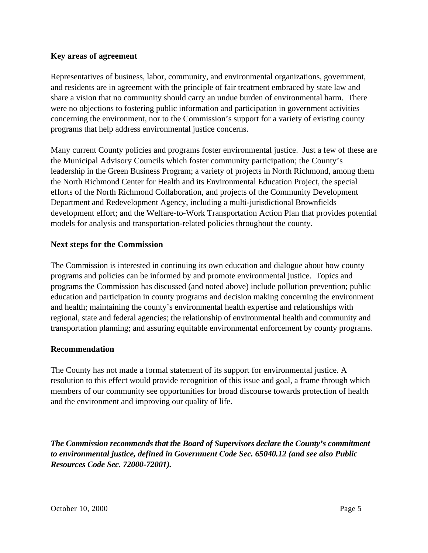#### **Key areas of agreement**

Representatives of business, labor, community, and environmental organizations, government, and residents are in agreement with the principle of fair treatment embraced by state law and share a vision that no community should carry an undue burden of environmental harm. There were no objections to fostering public information and participation in government activities concerning the environment, nor to the Commission's support for a variety of existing county programs that help address environmental justice concerns.

Many current County policies and programs foster environmental justice. Just a few of these are the Municipal Advisory Councils which foster community participation; the County's leadership in the Green Business Program; a variety of projects in North Richmond, among them the North Richmond Center for Health and its Environmental Education Project, the special efforts of the North Richmond Collaboration, and projects of the Community Development Department and Redevelopment Agency, including a multi-jurisdictional Brownfields development effort; and the Welfare-to-Work Transportation Action Plan that provides potential models for analysis and transportation-related policies throughout the county.

#### **Next steps for the Commission**

The Commission is interested in continuing its own education and dialogue about how county programs and policies can be informed by and promote environmental justice. Topics and programs the Commission has discussed (and noted above) include pollution prevention; public education and participation in county programs and decision making concerning the environment and health; maintaining the county's environmental health expertise and relationships with regional, state and federal agencies; the relationship of environmental health and community and transportation planning; and assuring equitable environmental enforcement by county programs.

## **Recommendation**

The County has not made a formal statement of its support for environmental justice. A resolution to this effect would provide recognition of this issue and goal, a frame through which members of our community see opportunities for broad discourse towards protection of health and the environment and improving our quality of life.

*The Commission recommends that the Board of Supervisors declare the County's commitment to environmental justice, defined in Government Code Sec. 65040.12 (and see also Public Resources Code Sec. 72000-72001).*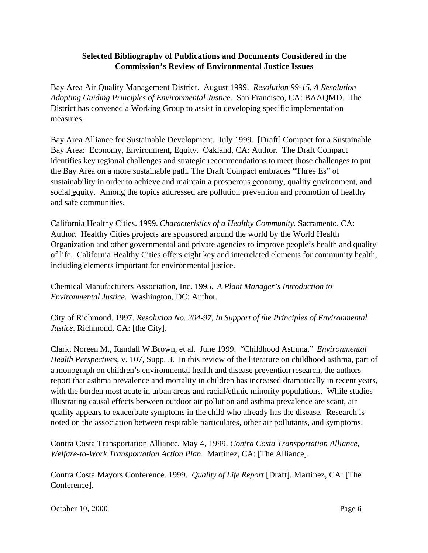## **Selected Bibliography of Publications and Documents Considered in the Commission's Review of Environmental Justice Issues**

Bay Area Air Quality Management District. August 1999. *Resolution 99-15, A Resolution Adopting Guiding Principles of Environmental Justice*. San Francisco, CA: BAAQMD. The District has convened a Working Group to assist in developing specific implementation measures.

Bay Area Alliance for Sustainable Development. July 1999. [Draft] Compact for a Sustainable Bay Area: Economy, Environment, Equity. Oakland, CA: Author. The Draft Compact identifies key regional challenges and strategic recommendations to meet those challenges to put the Bay Area on a more sustainable path. The Draft Compact embraces "Three Es" of sustainability in order to achieve and maintain a prosperous economy, quality environment, and social equity. Among the topics addressed are pollution prevention and promotion of healthy and safe communities.

California Healthy Cities. 1999. *Characteristics of a Healthy Community.* Sacramento, CA: Author. Healthy Cities projects are sponsored around the world by the World Health Organization and other governmental and private agencies to improve people's health and quality of life. California Healthy Cities offers eight key and interrelated elements for community health, including elements important for environmental justice.

Chemical Manufacturers Association, Inc. 1995. *A Plant Manager's Introduction to Environmental Justice*. Washington, DC: Author.

City of Richmond. 1997. *Resolution No. 204-97, In Support of the Principles of Environmental Justice*. Richmond, CA: [the City].

Clark, Noreen M., Randall W.Brown, et al. June 1999. "Childhood Asthma." *Environmental Health Perspectives*, v. 107, Supp. 3. In this review of the literature on childhood asthma, part of a monograph on children's environmental health and disease prevention research, the authors report that asthma prevalence and mortality in children has increased dramatically in recent years, with the burden most acute in urban areas and racial/ethnic minority populations. While studies illustrating causal effects between outdoor air pollution and asthma prevalence are scant, air quality appears to exacerbate symptoms in the child who already has the disease. Research is noted on the association between respirable particulates, other air pollutants, and symptoms.

Contra Costa Transportation Alliance*.* May 4, 1999. *Contra Costa Transportation Alliance, Welfare-to-Work Transportation Action Plan*. Martinez, CA: [The Alliance].

Contra Costa Mayors Conference. 1999. *Quality of Life Report* [Draft]. Martinez, CA: [The Conference].

October 10, 2000 Page 6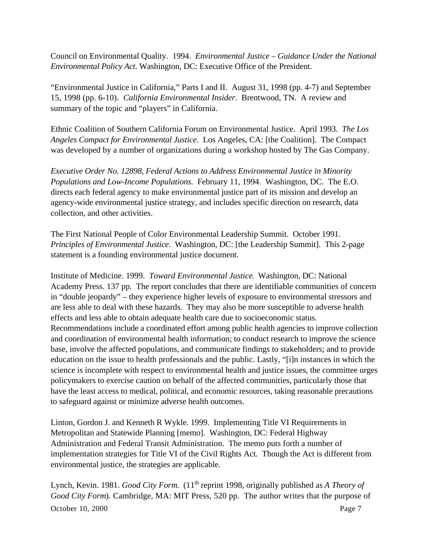Council on Environmental Quality. 1994. *Environmental Justice – Guidance Under the National Environmental Policy Act*. Washington, DC: Executive Office of the President.

"Environmental Justice in California," Parts I and II. August 31, 1998 (pp. 4-7) and September 15, 1998 (pp. 6-10). *California Environmental Insider*. Brentwood, TN. A review and summary of the topic and "players" in California.

Ethnic Coalition of Southern California Forum on Environmental Justice. April 1993. *The Los Angeles Compact for Environmental Justice*. Los Angeles, CA: [the Coalition]. The Compact was developed by a number of organizations during a workshop hosted by The Gas Company.

*Executive Order No. 12898, Federal Actions to Address Environmental Justice in Minority Populations and Low-Income Populations*. February 11, 1994. Washington, DC. The E.O. directs each federal agency to make environmental justice part of its mission and develop an agency-wide environmental justice strategy, and includes specific direction on research, data collection, and other activities.

The First National People of Color Environmental Leadership Summit. October 1991. *Principles of Environmental Justice*. Washington, DC: [the Leadership Summit]. This 2-page statement is a founding environmental justice document.

Institute of Medicine. 1999. *Toward Environmental Justice*. Washington, DC: National Academy Press. 137 pp. The report concludes that there are identifiable communities of concern in "double jeopardy" – they experience higher levels of exposure to environmental stressors and are less able to deal with these hazards. They may also be more susceptible to adverse health effects and less able to obtain adequate health care due to socioeconomic status. Recommendations include a coordinated effort among public health agencies to improve collection and coordination of environmental health information; to conduct research to improve the science base, involve the affected populations, and communicate findings to stakeholders; and to provide education on the issue to health professionals and the public. Lastly, "[i]n instances in which the science is incomplete with respect to environmental health and justice issues, the committee urges policymakers to exercise caution on behalf of the affected communities, particularly those that have the least access to medical, political, and economic resources, taking reasonable precautions to safeguard against or minimize adverse health outcomes.

Linton, Gordon J. and Kenneth R Wykle. 1999. Implementing Title VI Requirements in Metropolitan and Statewide Planning [memo]. Washington, DC: Federal Highway Administration and Federal Transit Administration. The memo puts forth a number of implementation strategies for Title VI of the Civil Rights Act. Though the Act is different from environmental justice, the strategies are applicable.

October 10, 2000 Page 7 Lynch, Kevin. 1981. *Good City Form.* (11<sup>th</sup> reprint 1998, originally published as *A Theory of Good City Form*). Cambridge, MA: MIT Press, 520 pp. The author writes that the purpose of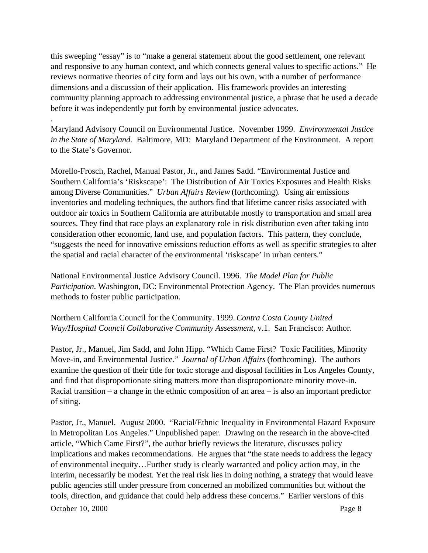this sweeping "essay" is to "make a general statement about the good settlement, one relevant and responsive to any human context, and which connects general values to specific actions." He reviews normative theories of city form and lays out his own, with a number of performance dimensions and a discussion of their application. His framework provides an interesting community planning approach to addressing environmental justice, a phrase that he used a decade before it was independently put forth by environmental justice advocates.

Maryland Advisory Council on Environmental Justice. November 1999. *Environmental Justice in the State of Maryland*. Baltimore, MD: Maryland Department of the Environment. A report to the State's Governor.

Morello-Frosch, Rachel, Manual Pastor, Jr., and James Sadd. "Environmental Justice and Southern California's 'Riskscape': The Distribution of Air Toxics Exposures and Health Risks among Diverse Communities." *Urban Affairs Review* (forthcoming). Using air emissions inventories and modeling techniques, the authors find that lifetime cancer risks associated with outdoor air toxics in Southern California are attributable mostly to transportation and small area sources. They find that race plays an explanatory role in risk distribution even after taking into consideration other economic, land use, and population factors. This pattern, they conclude, "suggests the need for innovative emissions reduction efforts as well as specific strategies to alter the spatial and racial character of the environmental 'riskscape' in urban centers."

National Environmental Justice Advisory Council. 1996. *The Model Plan for Public Participation*. Washington, DC: Environmental Protection Agency. The Plan provides numerous methods to foster public participation.

Northern California Council for the Community. 1999. *Contra Costa County United Way/Hospital Council Collaborative Community Assessment*, v.1. San Francisco: Author.

Pastor, Jr., Manuel, Jim Sadd, and John Hipp. "Which Came First? Toxic Facilities, Minority Move-in, and Environmental Justice." *Journal of Urban Affairs* (forthcoming). The authors examine the question of their title for toxic storage and disposal facilities in Los Angeles County, and find that disproportionate siting matters more than disproportionate minority move-in. Racial transition – a change in the ethnic composition of an area – is also an important predictor of siting.

Pastor, Jr., Manuel. August 2000. "Racial/Ethnic Inequality in Environmental Hazard Exposure in Metropolitan Los Angeles." Unpublished paper. Drawing on the research in the above-cited article, "Which Came First?", the author briefly reviews the literature, discusses policy implications and makes recommendations. He argues that "the state needs to address the legacy of environmental inequity…Further study is clearly warranted and policy action may, in the interim, necessarily be modest. Yet the real risk lies in doing nothing, a strategy that would leave public agencies still under pressure from concerned an mobilized communities but without the tools, direction, and guidance that could help address these concerns." Earlier versions of this

October 10, 2000 Page 8

.